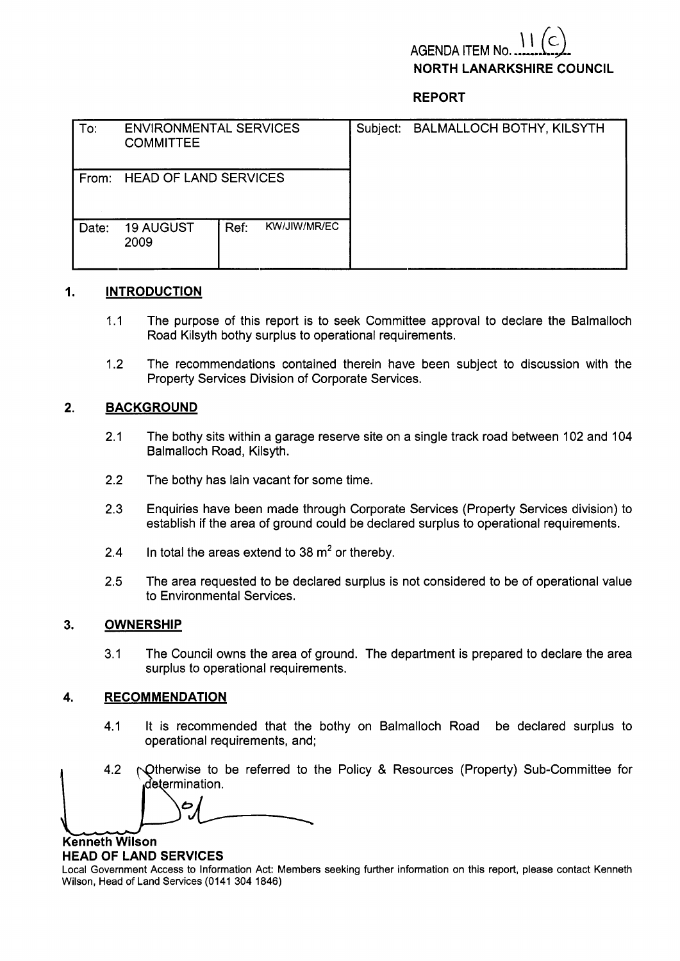# **AGENDA** ITEM **NORTH LANARKSHIRE COUNCIL**

# **REPORT**

| To:   | <b>ENVIRONMENTAL SERVICES</b><br><b>COMMITTEE</b> |      |              | Subject: BALMALLOCH BOTHY, KILSYTH |
|-------|---------------------------------------------------|------|--------------|------------------------------------|
| From: | <b>HEAD OF LAND SERVICES</b>                      |      |              |                                    |
| Date: | <b>19 AUGUST</b><br>2009                          | Ref: | KW/JIW/MR/EC |                                    |

# **1. INTRODUCTION**

- 1.1 The purpose of this report is to seek Committee approval to declare the Balmalloch Road Kilsyth bothy surplus to operational requirements.
- 1.2 The recommendations contained therein have been subject to discussion with the Property Services Division of Corporate Services.

## **2. BACKGROUND**

- 2.1 The bothy sits within a garage reserve site on a single track road between 102 and 104 Balmalloch Road, Kilsyth.
- 2.2 The bothy has lain vacant for some time.
- 2.3 Enquiries have been made through Corporate Services (Property Services division) to establish if the area of ground could be declared surplus to operational requirements.
- 2.4 In total the areas extend to 38  $\mathrm{m}^2$  or thereby.
- 2.5 The area requested to be declared surplus is not considered to be of operational value to Environmental Services.

#### **3. OWNERSHIP**

3.1 The Council owns the area of ground. The department is prepared to declare the area surplus to operational requirements. ouncil owns the area of ground. The department is prepare<br> **5. b operational requirements.**<br> *6L DATION*<br> **6L EXTION**<br> **6L EXTION**<br> **6L EXTION**<br> **6L EXTION**<br> **6L EXTION**<br> **6L EXTION**<br> **6L EXTION**<br> **6L EXTION**<br> **6L EXTI** 

#### **4. RECOMMENDATION**

- 4.1 It is recommended that the bothy on Balmalloch Road be declared surplus to operational requirements, and; 4. RECOMMENDATION<br>
1. It is recommended that the bothy on Balmalloch Road be declared surplus to<br>
operational requirements, and;<br>
4.2 Otherwise to be referred to the Policy & Resources (Property) Sub-Committee for<br>
determi
	-

**Kenneth Wilson** 

## **HEAD OF LAND SERVICES**

Local Government Access to Information Act: Members seeking further information on this report, please contact Kenneth Wilson, Head of Land Services (0141 304 1846)